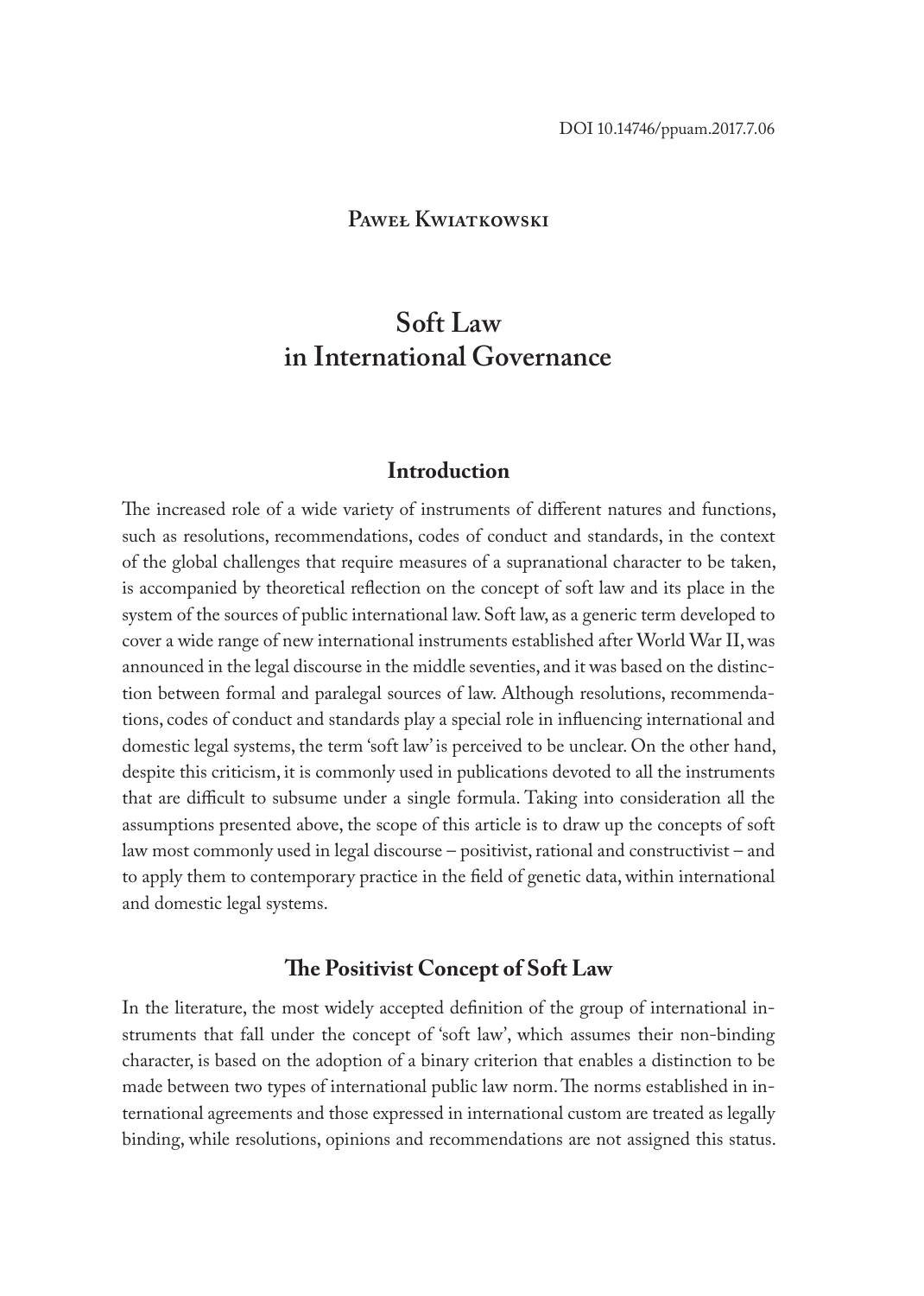### **Paweł Kwiatkowski**

# **Soft Law in International Governance**

#### **Introduction**

The increased role of a wide variety of instruments of different natures and functions, such as resolutions, recommendations, codes of conduct and standards, in the context of the global challenges that require measures of a supranational character to be taken, is accompanied by theoretical reflection on the concept of soft law and its place in the system of the sources of public international law. Soft law, as a generic term developed to cover a wide range of new international instruments established after World War II, was announced in the legal discourse in the middle seventies, and it was based on the distinction between formal and paralegal sources of law. Although resolutions, recommendations, codes of conduct and standards play a special role in influencing international and domestic legal systems, the term 'soft law' is perceived to be unclear. On the other hand, despite this criticism, it is commonly used in publications devoted to all the instruments that are difficult to subsume under a single formula. Taking into consideration all the assumptions presented above, the scope of this article is to draw up the concepts of soft law most commonly used in legal discourse – positivist, rational and constructivist – and to apply them to contemporary practice in the field of genetic data, within international and domestic legal systems.

#### **The Positivist Concept of Soft Law**

In the literature, the most widely accepted definition of the group of international instruments that fall under the concept of 'soft law', which assumes their non-binding character, is based on the adoption of a binary criterion that enables a distinction to be made between two types of international public law norm. The norms established in international agreements and those expressed in international custom are treated as legally binding, while resolutions, opinions and recommendations are not assigned this status.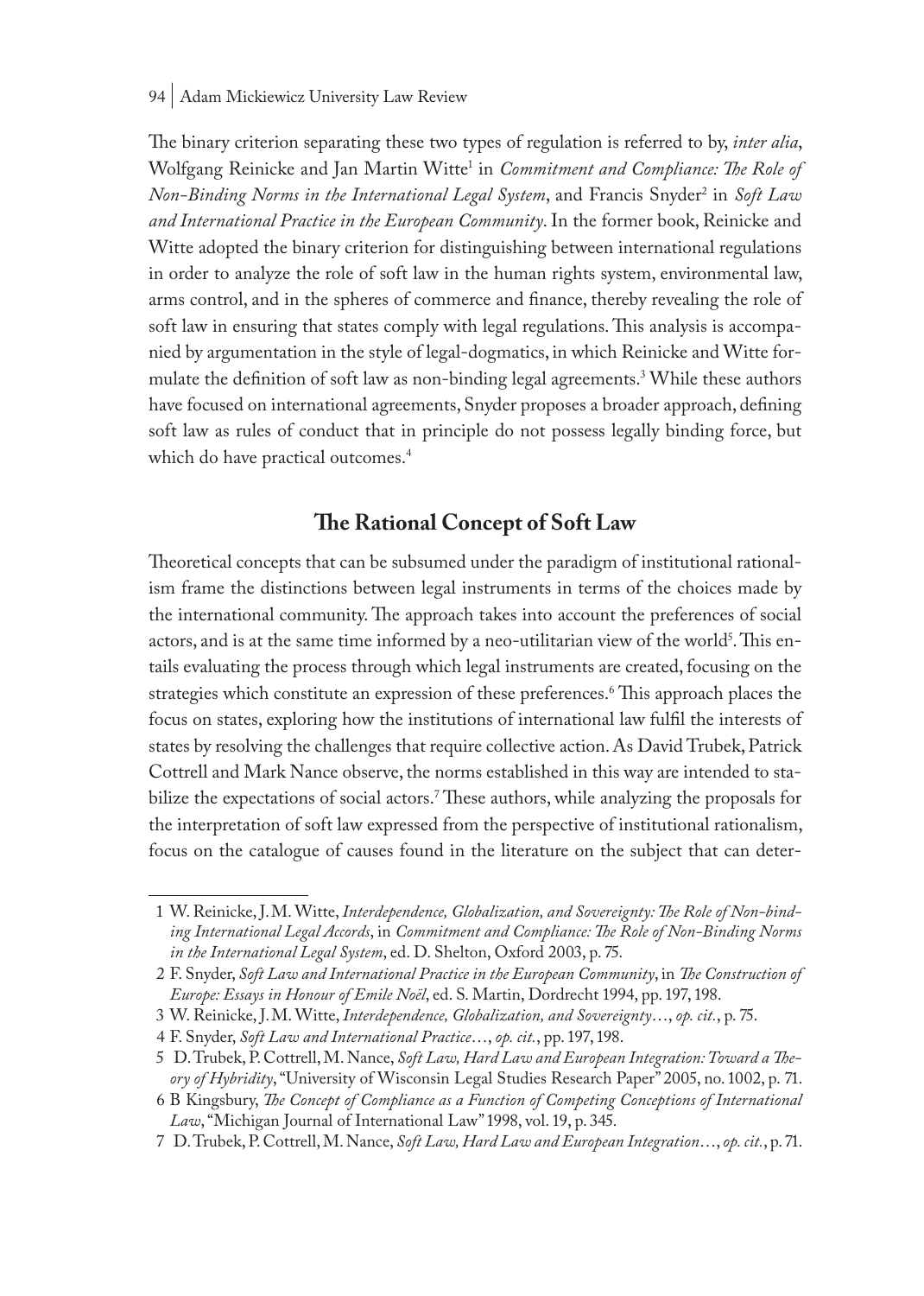The binary criterion separating these two types of regulation is referred to by, *inter alia*, Wolfgang Reinicke and Jan Martin Witte<sup>1</sup> in *Commitment and Compliance: The Role of Non-Binding Norms in the International Legal System*, and Francis Snyder2 in *Soft Law and International Practice in the European Community*. In the former book, Reinicke and Witte adopted the binary criterion for distinguishing between international regulations in order to analyze the role of soft law in the human rights system, environmental law, arms control, and in the spheres of commerce and finance, thereby revealing the role of soft law in ensuring that states comply with legal regulations. This analysis is accompanied by argumentation in the style of legal-dogmatics, in which Reinicke and Witte formulate the definition of soft law as non-binding legal agreements.3 While these authors have focused on international agreements, Snyder proposes a broader approach, defining soft law as rules of conduct that in principle do not possess legally binding force, but which do have practical outcomes.<sup>4</sup>

## **The Rational Concept of Soft Law**

Theoretical concepts that can be subsumed under the paradigm of institutional rationalism frame the distinctions between legal instruments in terms of the choices made by the international community. The approach takes into account the preferences of social actors, and is at the same time informed by a neo-utilitarian view of the world<sup>5</sup>. This entails evaluating the process through which legal instruments are created, focusing on the strategies which constitute an expression of these preferences.6 This approach places the focus on states, exploring how the institutions of international law fulfil the interests of states by resolving the challenges that require collective action. As David Trubek, Patrick Cottrell and Mark Nance observe, the norms established in this way are intended to stabilize the expectations of social actors.7 These authors, while analyzing the proposals for the interpretation of soft law expressed from the perspective of institutional rationalism, focus on the catalogue of causes found in the literature on the subject that can deter-

<sup>1</sup> W. Reinicke, J.M. Witte, *Interdependence, Globalization, and Sovereignty: The Role of Non-binding International Legal Accords*, in *Commitment and Compliance: The Role of Non-Binding Norms in the International Legal System*, ed. D. Shelton, Oxford 2003, p. 75.

<sup>2</sup> F. Snyder, *Soft Law and International Practice in the European Community*, in *The Construction of Europe: Essays in Honour of Emile Noël*, ed. S. Martin, Dordrecht 1994, pp. 197, 198.

<sup>3</sup> W. Reinicke, J.M. Witte, *Interdependence, Globalization, and Sovereignty*…, *op. cit.*, p. 75.

<sup>4</sup> F. Snyder, *Soft Law and International Practice*…, *op. cit.*, pp. 197, 198.

<sup>5</sup> D. Trubek, P. Cottrell, M. Nance, *Soft Law, Hard Law and European Integration: Toward a Theory of Hybridity*, "University of Wisconsin Legal Studies Research Paper" 2005, no. 1002, p. 71.

<sup>6</sup> B Kingsbury, *The Concept of Compliance as a Function of Competing Conceptions of International Law*, "Michigan Journal of International Law" 1998, vol. 19, p. 345.

<sup>7</sup> D. Trubek, P. Cottrell, M. Nance, *Soft Law, Hard Law and European Integration*…, *op. cit.*, p. 71.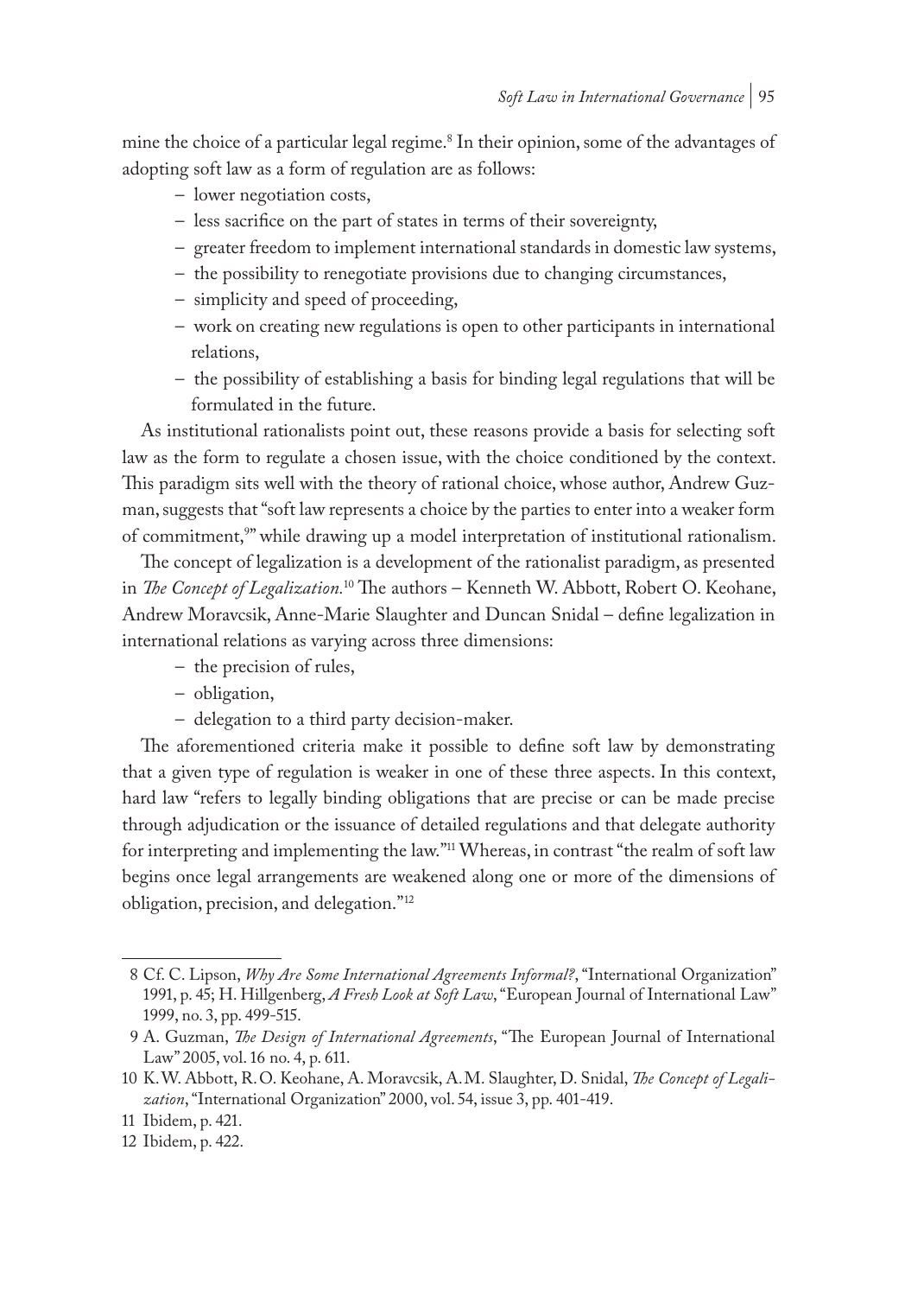mine the choice of a particular legal regime.8 In their opinion, some of the advantages of adopting soft law as a form of regulation are as follows:

- lower negotiation costs,
- less sacrifice on the part of states in terms of their sovereignty,
- greater freedom to implement international standards in domestic law systems,
- the possibility to renegotiate provisions due to changing circumstances,
- simplicity and speed of proceeding,
- work on creating new regulations is open to other participants in international relations,
- the possibility of establishing a basis for binding legal regulations that will be formulated in the future.

As institutional rationalists point out, these reasons provide a basis for selecting soft law as the form to regulate a chosen issue, with the choice conditioned by the context. This paradigm sits well with the theory of rational choice, whose author, Andrew Guzman, suggests that "soft law represents a choice by the parties to enter into a weaker form of commitment," while drawing up a model interpretation of institutional rationalism.

The concept of legalization is a development of the rationalist paradigm, as presented in *The Concept of Legalization.*10 The authors – Kenneth W. Abbott, Robert O. Keohane, Andrew Moravcsik, Anne-Marie Slaughter and Duncan Snidal – define legalization in international relations as varying across three dimensions:

- the precision of rules,
- obligation,
- delegation to a third party decision-maker.

The aforementioned criteria make it possible to define soft law by demonstrating that a given type of regulation is weaker in one of these three aspects. In this context, hard law "refers to legally binding obligations that are precise or can be made precise through adjudication or the issuance of detailed regulations and that delegate authority for interpreting and implementing the law."11 Whereas, in contrast "the realm of soft law begins once legal arrangements are weakened along one or more of the dimensions of obligation, precision, and delegation."<sup>12</sup>

<sup>8</sup> Cf. C. Lipson, *Why Are Some International Agreements Informal?*, "International Organization" 1991, p. 45; H. Hillgenberg, *A Fresh Look at Soft Law*, "European Journal of International Law" 1999, no. 3, pp. 499-515.

<sup>9</sup> A. Guzman, *The Design of International Agreements*, "The European Journal of International Law" 2005, vol. 16 no. 4, p. 611.

<sup>10</sup> K.W. Abbott, R.O. Keohane, A. Moravcsik, A.M. Slaughter, D. Snidal, *The Concept of Legalization*, "International Organization" 2000, vol. 54, issue 3, pp. 401-419.

<sup>11</sup> Ibidem, p. 421.

<sup>12</sup> Ibidem, p. 422.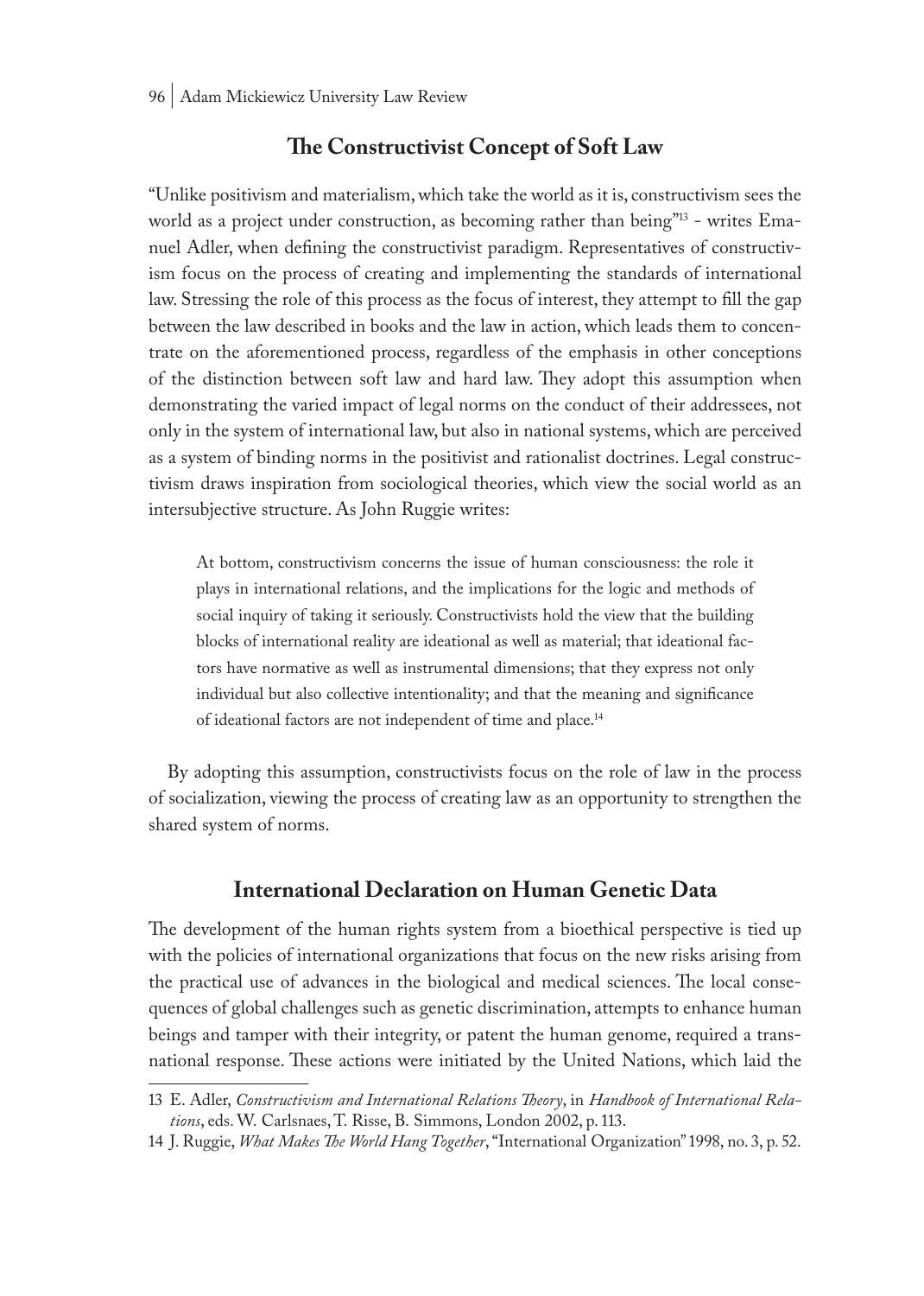### **The Constructivist Concept of Soft Law**

"Unlike positivism and materialism, which take the world as it is, constructivism sees the world as a project under construction, as becoming rather than being"13 - writes Emanuel Adler, when defining the constructivist paradigm. Representatives of constructivism focus on the process of creating and implementing the standards of international law. Stressing the role of this process as the focus of interest, they attempt to fill the gap between the law described in books and the law in action, which leads them to concentrate on the aforementioned process, regardless of the emphasis in other conceptions of the distinction between soft law and hard law. They adopt this assumption when demonstrating the varied impact of legal norms on the conduct of their addressees, not only in the system of international law, but also in national systems, which are perceived as a system of binding norms in the positivist and rationalist doctrines. Legal constructivism draws inspiration from sociological theories, which view the social world as an intersubjective structure. As John Ruggie writes:

At bottom, constructivism concerns the issue of human consciousness: the role it plays in international relations, and the implications for the logic and methods of social inquiry of taking it seriously. Constructivists hold the view that the building blocks of international reality are ideational as well as material; that ideational factors have normative as well as instrumental dimensions; that they express not only individual but also collective intentionality; and that the meaning and significance of ideational factors are not independent of time and place.14

By adopting this assumption, constructivists focus on the role of law in the process of socialization, viewing the process of creating law as an opportunity to strengthen the shared system of norms.

### **International Declaration on Human Genetic Data**

The development of the human rights system from a bioethical perspective is tied up with the policies of international organizations that focus on the new risks arising from the practical use of advances in the biological and medical sciences. The local consequences of global challenges such as genetic discrimination, attempts to enhance human beings and tamper with their integrity, or patent the human genome, required a transnational response. These actions were initiated by the United Nations, which laid the

<sup>13</sup> E. Adler, *Constructivism and International Relations Theory*, in *Handbook of International Relations*, eds. W. Carlsnaes, T. Risse, B. Simmons, London 2002, p. 113.

<sup>14</sup> J. Ruggie, *What Makes The World Hang Together*, "International Organization" 1998, no. 3, p. 52.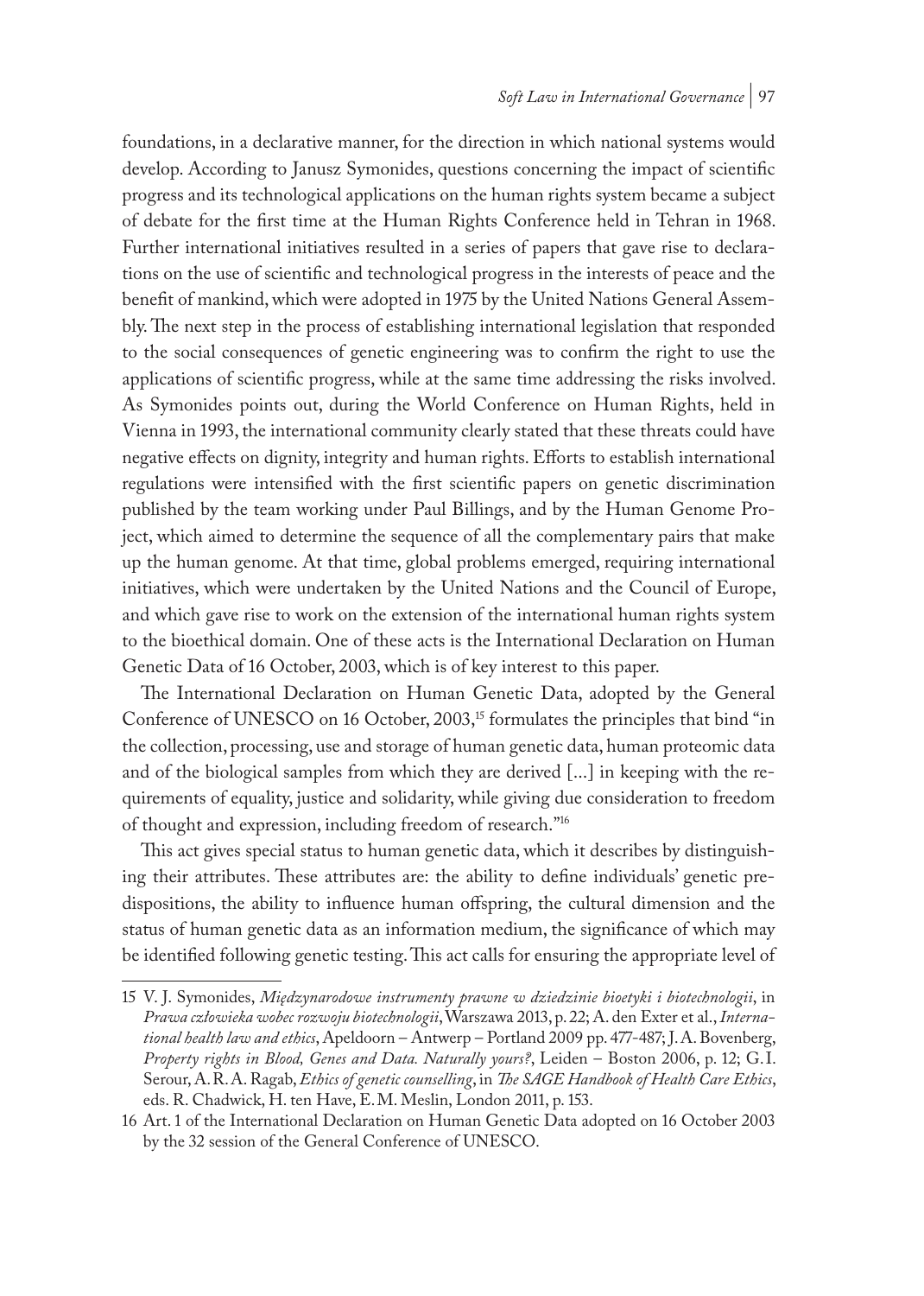foundations, in a declarative manner, for the direction in which national systems would develop. According to Janusz Symonides, questions concerning the impact of scientific progress and its technological applications on the human rights system became a subject of debate for the first time at the Human Rights Conference held in Tehran in 1968. Further international initiatives resulted in a series of papers that gave rise to declarations on the use of scientific and technological progress in the interests of peace and the benefit of mankind, which were adopted in 1975 by the United Nations General Assembly. The next step in the process of establishing international legislation that responded to the social consequences of genetic engineering was to confirm the right to use the applications of scientific progress, while at the same time addressing the risks involved. As Symonides points out, during the World Conference on Human Rights, held in Vienna in 1993, the international community clearly stated that these threats could have negative effects on dignity, integrity and human rights. Efforts to establish international regulations were intensified with the first scientific papers on genetic discrimination published by the team working under Paul Billings, and by the Human Genome Project, which aimed to determine the sequence of all the complementary pairs that make up the human genome. At that time, global problems emerged, requiring international initiatives, which were undertaken by the United Nations and the Council of Europe, and which gave rise to work on the extension of the international human rights system to the bioethical domain. One of these acts is the International Declaration on Human Genetic Data of 16 October, 2003, which is of key interest to this paper.

The International Declaration on Human Genetic Data, adopted by the General Conference of UNESCO on 16 October, 2003,<sup>15</sup> formulates the principles that bind "in the collection, processing, use and storage of human genetic data, human proteomic data and of the biological samples from which they are derived [...] in keeping with the requirements of equality, justice and solidarity, while giving due consideration to freedom of thought and expression, including freedom of research."16

This act gives special status to human genetic data, which it describes by distinguishing their attributes. These attributes are: the ability to define individuals' genetic predispositions, the ability to influence human offspring, the cultural dimension and the status of human genetic data as an information medium, the significance of which may be identified following genetic testing. This act calls for ensuring the appropriate level of

<sup>15</sup> V. J. Symonides, *Międzynarodowe instrumenty prawne w dziedzinie bioetyki i biotechnologii*, in *Prawa człowieka wobec rozwoju biotechnologii*, Warszawa 2013, p. 22; A. den Exter et al., *International health law and ethics*, Apeldoorn – Antwerp – Portland 2009 pp. 477-487; J.A. Bovenberg, *Property rights in Blood, Genes and Data. Naturally yours?*, Leiden – Boston 2006, p. 12; G.I. Serour, A.R.A. Ragab, *Ethics of genetic counselling*, in *The SAGE Handbook of Health Care Ethics*, eds. R. Chadwick, H. ten Have, E.M. Meslin, London 2011, p. 153.

<sup>16</sup> Art. 1 of the International Declaration on Human Genetic Data adopted on 16 October 2003 by the 32 session of the General Conference of UNESCO.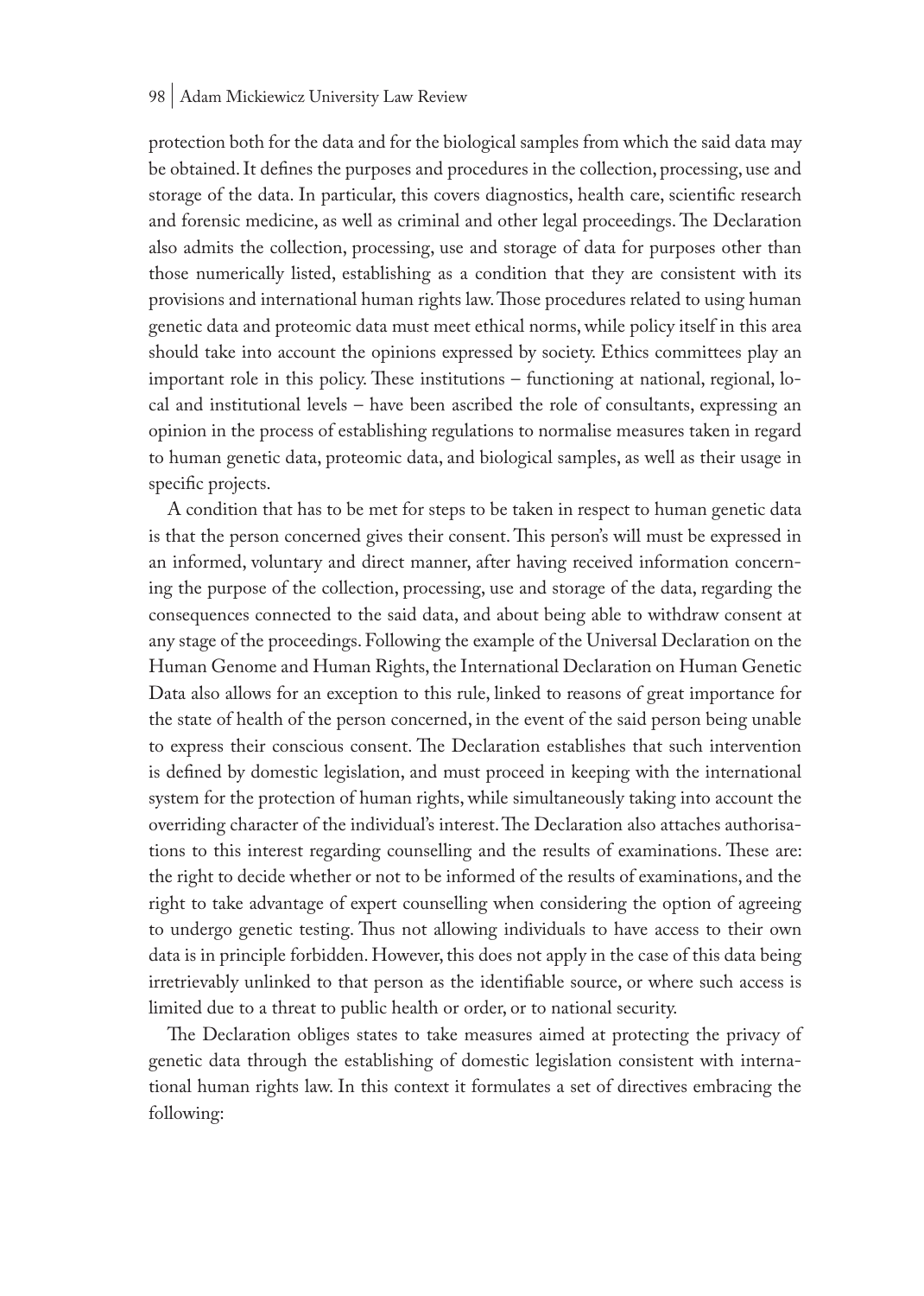protection both for the data and for the biological samples from which the said data may be obtained. It defines the purposes and procedures in the collection, processing, use and storage of the data. In particular, this covers diagnostics, health care, scientific research and forensic medicine, as well as criminal and other legal proceedings. The Declaration also admits the collection, processing, use and storage of data for purposes other than those numerically listed, establishing as a condition that they are consistent with its provisions and international human rights law. Those procedures related to using human genetic data and proteomic data must meet ethical norms, while policy itself in this area should take into account the opinions expressed by society. Ethics committees play an important role in this policy. These institutions – functioning at national, regional, local and institutional levels – have been ascribed the role of consultants, expressing an opinion in the process of establishing regulations to normalise measures taken in regard to human genetic data, proteomic data, and biological samples, as well as their usage in specific projects.

A condition that has to be met for steps to be taken in respect to human genetic data is that the person concerned gives their consent. This person's will must be expressed in an informed, voluntary and direct manner, after having received information concerning the purpose of the collection, processing, use and storage of the data, regarding the consequences connected to the said data, and about being able to withdraw consent at any stage of the proceedings. Following the example of the Universal Declaration on the Human Genome and Human Rights, the International Declaration on Human Genetic Data also allows for an exception to this rule, linked to reasons of great importance for the state of health of the person concerned, in the event of the said person being unable to express their conscious consent. The Declaration establishes that such intervention is defined by domestic legislation, and must proceed in keeping with the international system for the protection of human rights, while simultaneously taking into account the overriding character of the individual's interest. The Declaration also attaches authorisations to this interest regarding counselling and the results of examinations. These are: the right to decide whether or not to be informed of the results of examinations, and the right to take advantage of expert counselling when considering the option of agreeing to undergo genetic testing. Thus not allowing individuals to have access to their own data is in principle forbidden. However, this does not apply in the case of this data being irretrievably unlinked to that person as the identifiable source, or where such access is limited due to a threat to public health or order, or to national security.

The Declaration obliges states to take measures aimed at protecting the privacy of genetic data through the establishing of domestic legislation consistent with international human rights law. In this context it formulates a set of directives embracing the following: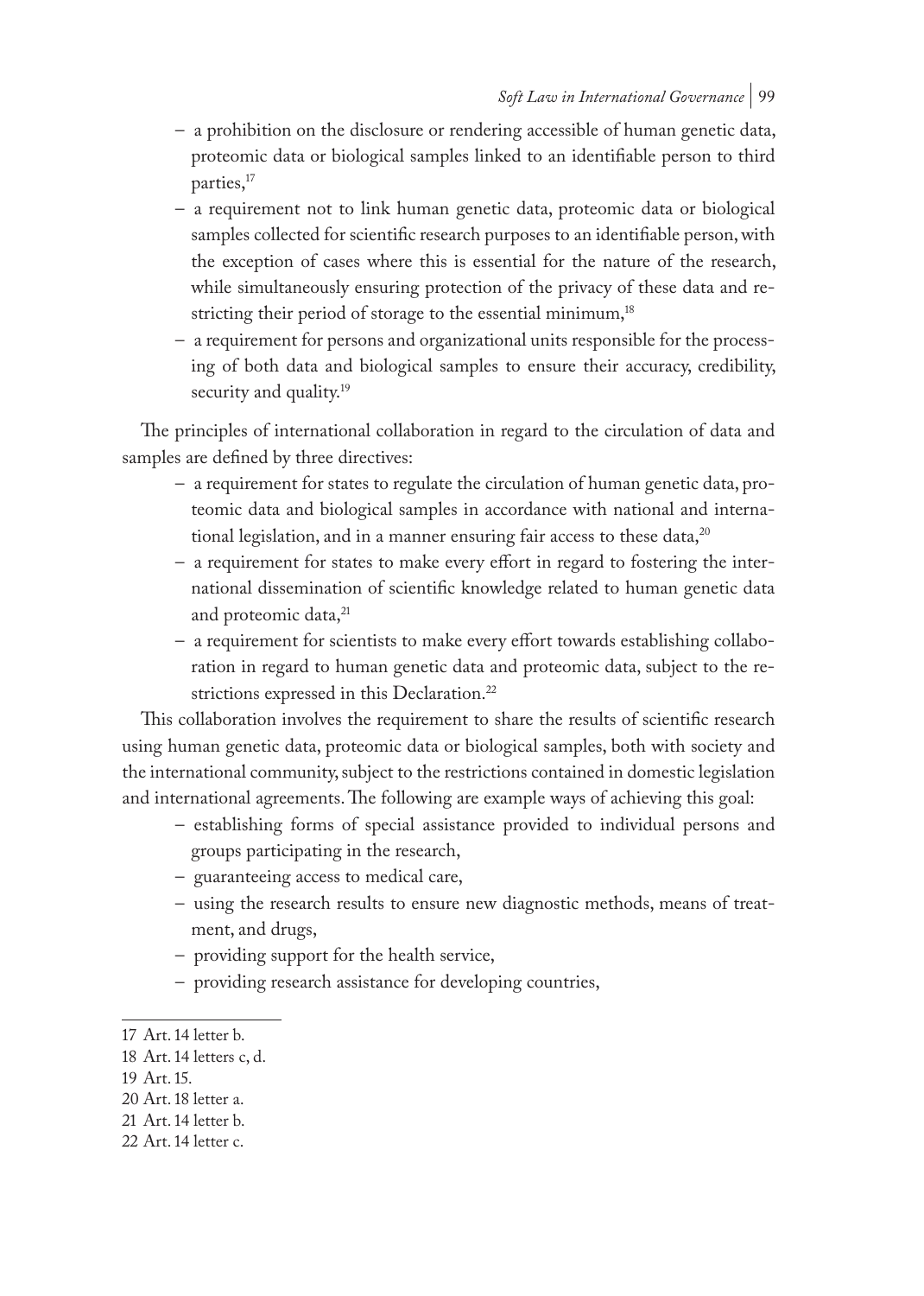- a prohibition on the disclosure or rendering accessible of human genetic data, proteomic data or biological samples linked to an identifiable person to third parties,<sup>17</sup>
- a requirement not to link human genetic data, proteomic data or biological samples collected for scientific research purposes to an identifiable person, with the exception of cases where this is essential for the nature of the research, while simultaneously ensuring protection of the privacy of these data and restricting their period of storage to the essential minimum,<sup>18</sup>
- a requirement for persons and organizational units responsible for the processing of both data and biological samples to ensure their accuracy, credibility, security and quality.<sup>19</sup>

The principles of international collaboration in regard to the circulation of data and samples are defined by three directives:

- a requirement for states to regulate the circulation of human genetic data, proteomic data and biological samples in accordance with national and international legislation, and in a manner ensuring fair access to these data,<sup>20</sup>
- a requirement for states to make every effort in regard to fostering the international dissemination of scientific knowledge related to human genetic data and proteomic data,<sup>21</sup>
- a requirement for scientists to make every effort towards establishing collaboration in regard to human genetic data and proteomic data, subject to the restrictions expressed in this Declaration.<sup>22</sup>

This collaboration involves the requirement to share the results of scientific research using human genetic data, proteomic data or biological samples, both with society and the international community, subject to the restrictions contained in domestic legislation and international agreements. The following are example ways of achieving this goal:

- establishing forms of special assistance provided to individual persons and groups participating in the research,
- guaranteeing access to medical care,
- using the research results to ensure new diagnostic methods, means of treatment, and drugs,
- providing support for the health service,
- providing research assistance for developing countries,

- 19 Art. 15.
- 20 Art. 18 letter a.

<sup>17</sup> Art. 14 letter b.

<sup>18</sup> Art. 14 letters c, d.

<sup>21</sup> Art. 14 letter b.

<sup>22</sup> Art. 14 letter c.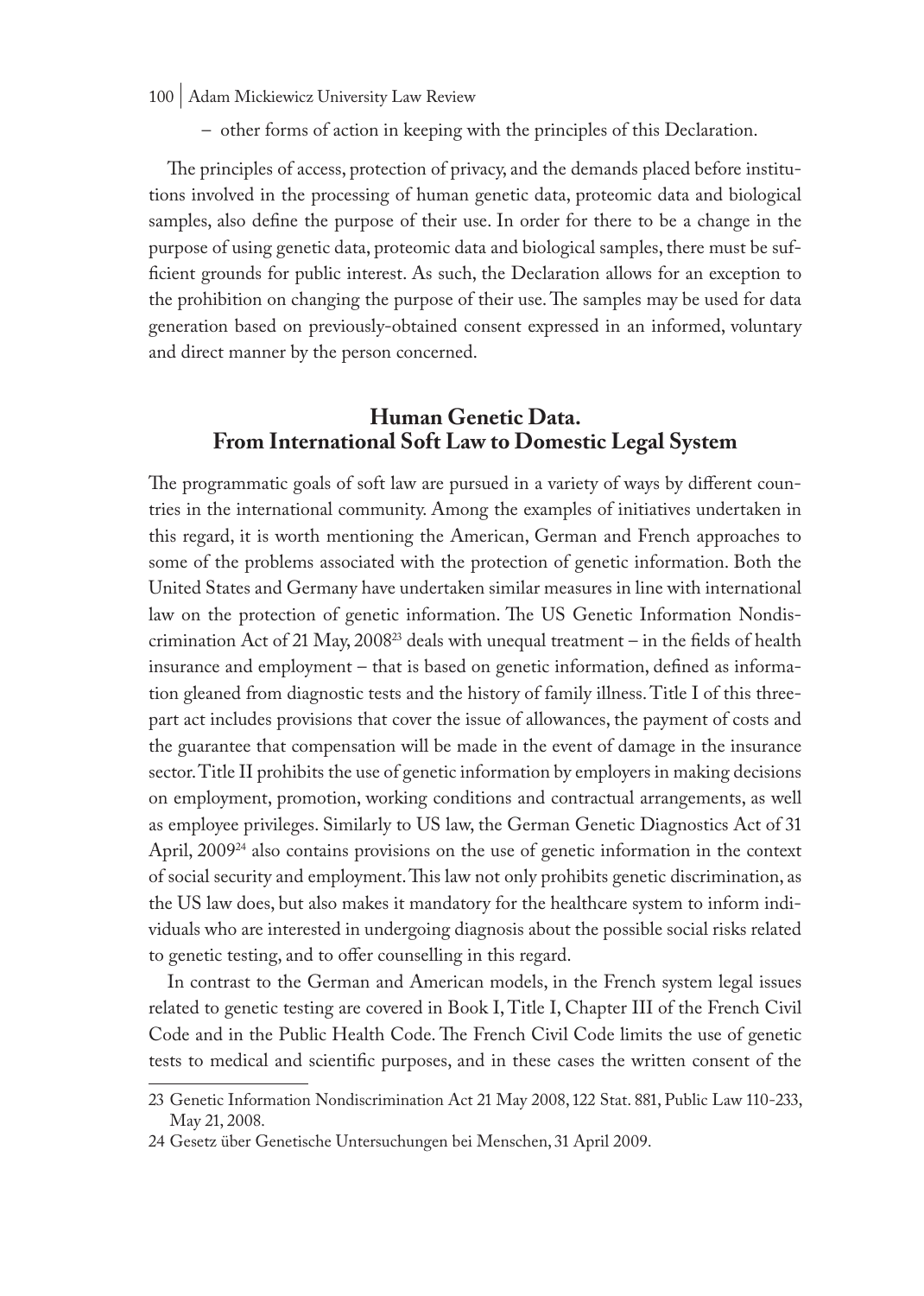– other forms of action in keeping with the principles of this Declaration.

The principles of access, protection of privacy, and the demands placed before institutions involved in the processing of human genetic data, proteomic data and biological samples, also define the purpose of their use. In order for there to be a change in the purpose of using genetic data, proteomic data and biological samples, there must be sufficient grounds for public interest. As such, the Declaration allows for an exception to the prohibition on changing the purpose of their use. The samples may be used for data generation based on previously-obtained consent expressed in an informed, voluntary and direct manner by the person concerned.

### **Human Genetic Data. From International Soft Law to Domestic Legal System**

The programmatic goals of soft law are pursued in a variety of ways by different countries in the international community. Among the examples of initiatives undertaken in this regard, it is worth mentioning the American, German and French approaches to some of the problems associated with the protection of genetic information. Both the United States and Germany have undertaken similar measures in line with international law on the protection of genetic information. The US Genetic Information Nondiscrimination Act of 21 May, 200823 deals with unequal treatment – in the fields of health insurance and employment – that is based on genetic information, defined as information gleaned from diagnostic tests and the history of family illness. Title I of this threepart act includes provisions that cover the issue of allowances, the payment of costs and the guarantee that compensation will be made in the event of damage in the insurance sector. Title II prohibits the use of genetic information by employers in making decisions on employment, promotion, working conditions and contractual arrangements, as well as employee privileges. Similarly to US law, the German Genetic Diagnostics Act of 31 April, 2009<sup>24</sup> also contains provisions on the use of genetic information in the context of social security and employment. This law not only prohibits genetic discrimination, as the US law does, but also makes it mandatory for the healthcare system to inform individuals who are interested in undergoing diagnosis about the possible social risks related to genetic testing, and to offer counselling in this regard.

In contrast to the German and American models, in the French system legal issues related to genetic testing are covered in Book I, Title I, Chapter III of the French Civil Code and in the Public Health Code. The French Civil Code limits the use of genetic tests to medical and scientific purposes, and in these cases the written consent of the

<sup>23</sup> Genetic Information Nondiscrimination Act 21 May 2008, 122 Stat. 881, Public Law 110-233, May 21, 2008.

<sup>24</sup> Gesetz über Genetische Untersuchungen bei Menschen, 31 April 2009.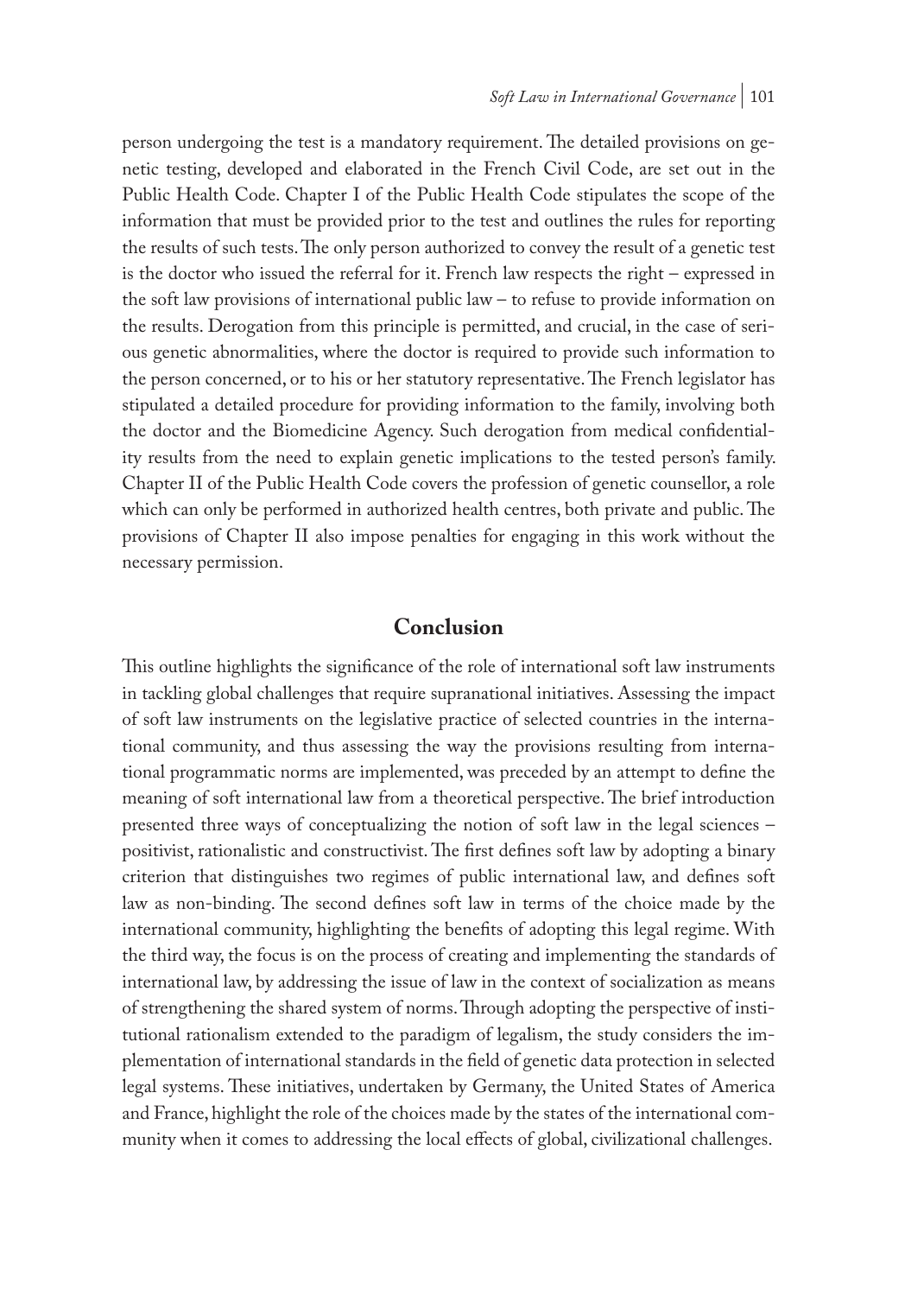person undergoing the test is a mandatory requirement. The detailed provisions on genetic testing, developed and elaborated in the French Civil Code, are set out in the Public Health Code. Chapter I of the Public Health Code stipulates the scope of the information that must be provided prior to the test and outlines the rules for reporting the results of such tests. The only person authorized to convey the result of a genetic test is the doctor who issued the referral for it. French law respects the right – expressed in the soft law provisions of international public law – to refuse to provide information on the results. Derogation from this principle is permitted, and crucial, in the case of serious genetic abnormalities, where the doctor is required to provide such information to the person concerned, or to his or her statutory representative. The French legislator has stipulated a detailed procedure for providing information to the family, involving both the doctor and the Biomedicine Agency. Such derogation from medical confidentiality results from the need to explain genetic implications to the tested person's family. Chapter II of the Public Health Code covers the profession of genetic counsellor, a role which can only be performed in authorized health centres, both private and public. The provisions of Chapter II also impose penalties for engaging in this work without the necessary permission.

#### **Conclusion**

This outline highlights the significance of the role of international soft law instruments in tackling global challenges that require supranational initiatives. Assessing the impact of soft law instruments on the legislative practice of selected countries in the international community, and thus assessing the way the provisions resulting from international programmatic norms are implemented, was preceded by an attempt to define the meaning of soft international law from a theoretical perspective. The brief introduction presented three ways of conceptualizing the notion of soft law in the legal sciences – positivist, rationalistic and constructivist. The first defines soft law by adopting a binary criterion that distinguishes two regimes of public international law, and defines soft law as non-binding. The second defines soft law in terms of the choice made by the international community, highlighting the benefits of adopting this legal regime. With the third way, the focus is on the process of creating and implementing the standards of international law, by addressing the issue of law in the context of socialization as means of strengthening the shared system of norms. Through adopting the perspective of institutional rationalism extended to the paradigm of legalism, the study considers the implementation of international standards in the field of genetic data protection in selected legal systems. These initiatives, undertaken by Germany, the United States of America and France, highlight the role of the choices made by the states of the international community when it comes to addressing the local effects of global, civilizational challenges.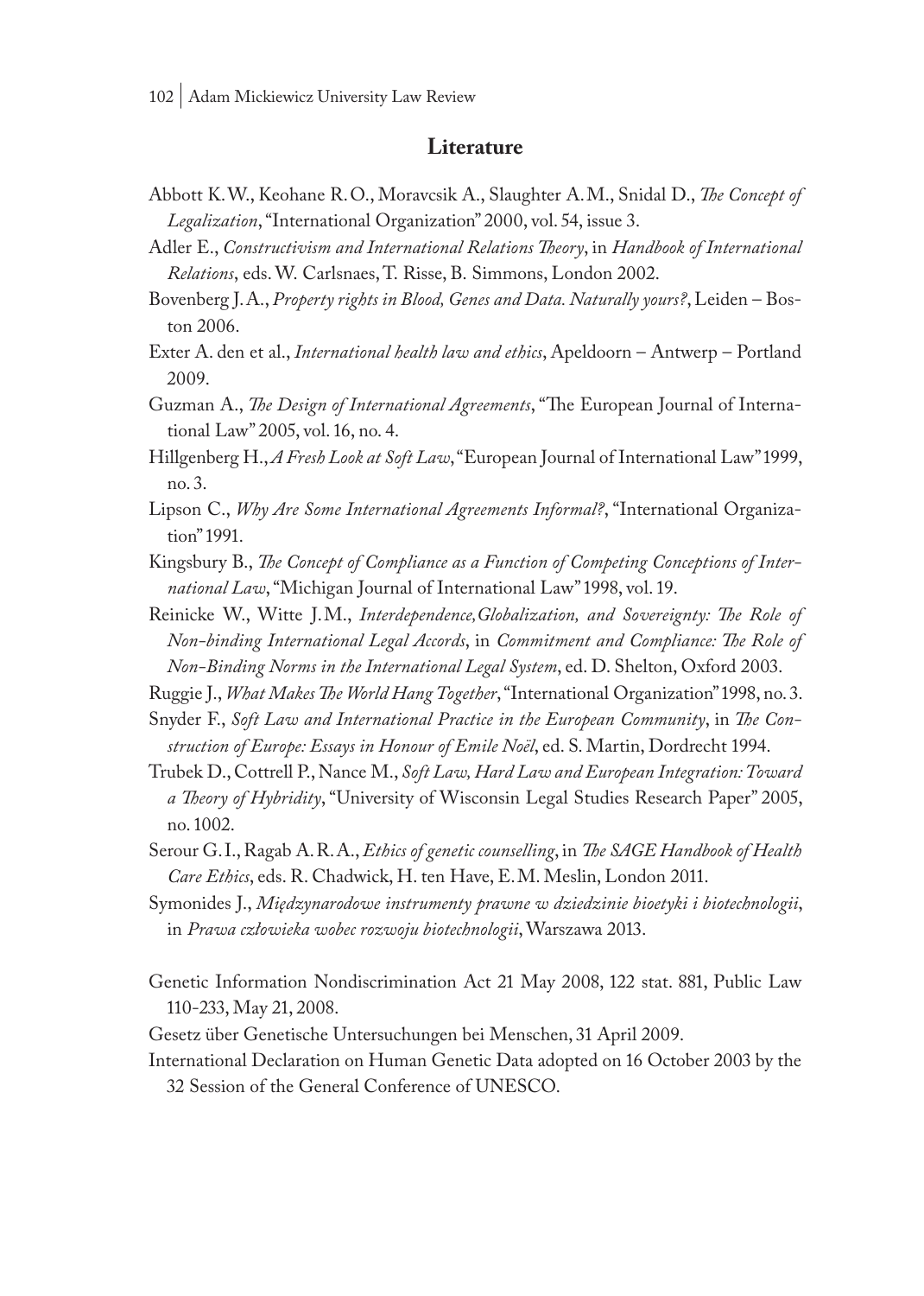#### **Literature**

- Abbott K.W., Keohane R.O., Moravcsik A., Slaughter A.M., Snidal D., *The Concept of Legalization*, "International Organization" 2000, vol. 54, issue 3.
- Adler E., *Constructivism and International Relations Theory*, in *Handbook of International Relations*, eds. W. Carlsnaes, T. Risse, B. Simmons, London 2002.
- Bovenberg J.A., *Property rights in Blood, Genes and Data. Naturally yours?*, Leiden Boston 2006.
- Exter A. den et al., *International health law and ethics*, Apeldoorn Antwerp Portland 2009.
- Guzman A., *The Design of International Agreements*, "The European Journal of International Law" 2005, vol. 16, no. 4.
- Hillgenberg H., *A Fresh Look at Soft Law*, "European Journal of International Law" 1999, no. 3.
- Lipson C., *Why Are Some International Agreements Informal?*, "International Organization" 1991.
- Kingsbury B., *The Concept of Compliance as a Function of Competing Conceptions of International Law*, "Michigan Journal of International Law" 1998, vol. 19.
- Reinicke W., Witte J.M., *Interdependence,Globalization, and Sovereignty: The Role of Non-binding International Legal Accords*, in *Commitment and Compliance: The Role of Non-Binding Norms in the International Legal System*, ed. D. Shelton, Oxford 2003.
- Ruggie J., *What Makes The World Hang Together*, "International Organization" 1998, no. 3.
- Snyder F., *Soft Law and International Practice in the European Community*, in *The Construction of Europe: Essays in Honour of Emile Noël*, ed. S. Martin, Dordrecht 1994.
- Trubek D., Cottrell P., Nance M., *Soft Law, Hard Law and European Integration: Toward a Theory of Hybridity*, "University of Wisconsin Legal Studies Research Paper" 2005, no. 1002.
- Serour G.I., Ragab A.R.A., *Ethics of genetic counselling*, in *The SAGE Handbook of Health Care Ethics*, eds. R. Chadwick, H. ten Have, E.M. Meslin, London 2011.
- Symonides J., *Międzynarodowe instrumenty prawne w dziedzinie bioetyki i biotechnologii*, in *Prawa człowieka wobec rozwoju biotechnologii*, Warszawa 2013.
- Genetic Information Nondiscrimination Act 21 May 2008, 122 stat. 881, Public Law 110-233, May 21, 2008.
- Gesetz über Genetische Untersuchungen bei Menschen, 31 April 2009.
- International Declaration on Human Genetic Data adopted on 16 October 2003 by the 32 Session of the General Conference of UNESCO.